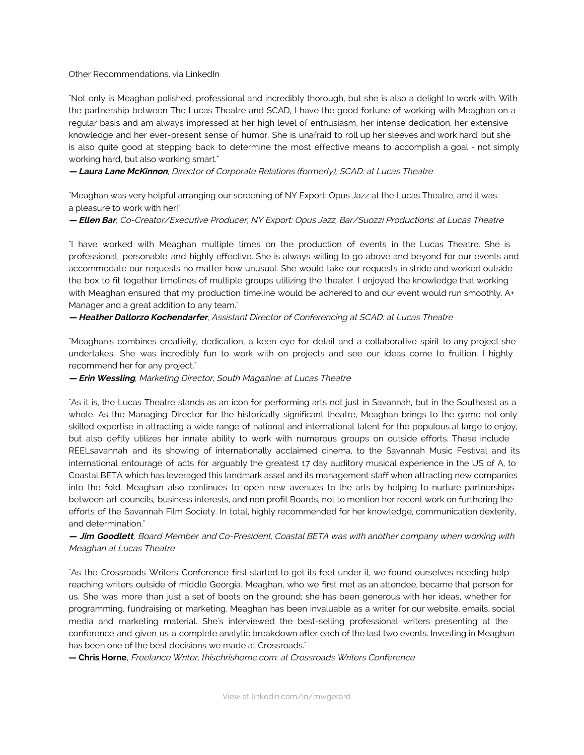## Other Recommendations, via LinkedIn

"Not only is Meaghan polished, professional and incredibly thorough, but she is also a delight to work with. With the partnership between The Lucas Theatre and SCAD, I have the good fortune of working with Meaghan on a regular basis and am always impressed at her high level of enthusiasm, her intense dedication, her extensive knowledge and her ever-present sense of humor. She is unafraid to roll up her sleeves and work hard, but she is also quite good at stepping back to determine the most effective means to accomplish a goal - not simply working hard, but also working smart."

**— Laura Lane McKinnon**, Director of Corporate Relations (formerly), SCAD: at Lucas Theatre

"Meaghan was very helpful arranging our screening of NY Export: Opus Jazz at the Lucas Theatre, and it was a pleasure to work with her!"

**— Ellen Bar**, Co-Creator/Executive Producer, NY Export: Opus Jazz, Bar/Suozzi Productions: at Lucas Theatre

"I have worked with Meaghan multiple times on the production of events in the Lucas Theatre. She is professional, personable and highly effective. She is always willing to go above and beyond for our events and accommodate our requests no matter how unusual. She would take our requests in stride and worked outside the box to fit together timelines of multiple groups utilizing the theater. I enjoyed the knowledge that working with Meaghan ensured that my production timeline would be adhered to and our event would run smoothly. A+ Manager and a great addition to any team."

**— Heather Dallorzo Kochendarfer**, Assistant Director of Conferencing at SCAD: at Lucas Theatre

"Meaghan's combines creativity, dedication, a keen eye for detail and a collaborative spirit to any project she undertakes. She was incredibly fun to work with on projects and see our ideas come to fruition. I highly recommend her for any project."

**— Erin Wessling**, Marketing Director, South Magazine: at Lucas Theatre

"As it is, the Lucas Theatre stands as an icon for performing arts not just in Savannah, but in the Southeast as a whole. As the Managing Director for the historically significant theatre, Meaghan brings to the game not only skilled expertise in attracting a wide range of national and international talent for the populous at large to enjoy, but also deftly utilizes her innate ability to work with numerous groups on outside efforts. These include REELsavannah and its showing of internationally acclaimed cinema, to the Savannah Music Festival and its international entourage of acts for arguably the greatest 17 day auditory musical experience in the US of A, to Coastal BETA which has leveraged this landmark asset and its management staff when attracting new companies into the fold. Meaghan also continues to open new avenues to the arts by helping to nurture partnerships between art councils, business interests, and non profit Boards, not to mention her recent work on furthering the efforts of the Savannah Film Society. In total, highly recommended for her knowledge, communication dexterity, and determination."

**— Jim Goodlett**, Board Member and Co-President, Coastal BETA was with another company when working with Meaghan at Lucas Theatre

"As the Crossroads Writers Conference first started to get its feet under it, we found ourselves needing help reaching writers outside of middle Georgia. Meaghan, who we first met as an attendee, became that person for us. She was more than just a set of boots on the ground; she has been generous with her ideas, whether for programming, fundraising or marketing. Meaghan has been invaluable as a writer for our website, emails, social media and marketing material. She's interviewed the best-selling professional writers presenting at the conference and given us a complete analytic breakdown after each of the last two events. Investing in Meaghan has been one of the best decisions we made at Crossroads."

**— Chris Horne**, Freelance Writer, thischrishorne.com: at Crossroads Writers Conference